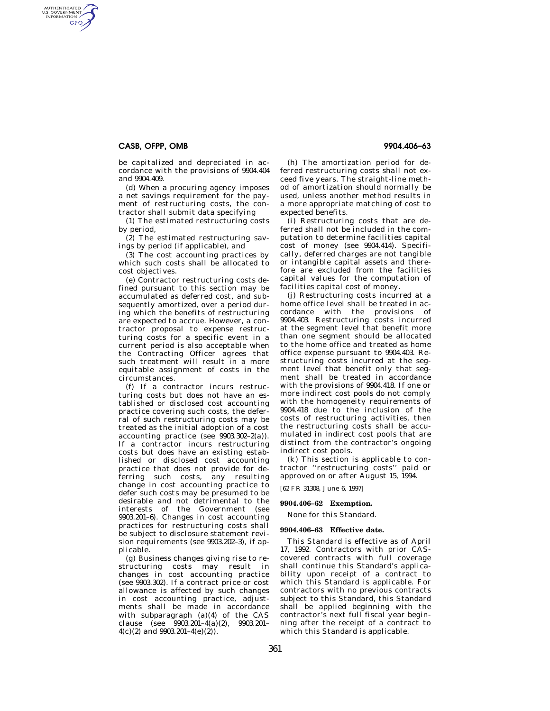# **CASB, OFPP, OMB 9904.406–63**

AUTHENTICATED<br>U.S. GOVERNMENT<br>INFORMATION GPO

> be capitalized and depreciated in accordance with the provisions of 9904.404 and 9904.409.

> (d) When a procuring agency imposes a net savings requirement for the payment of restructuring costs, the contractor shall submit data specifying

> (1) The estimated restructuring costs by period,

> (2) The estimated restructuring savings by period (if applicable), and

> (3) The cost accounting practices by which such costs shall be allocated to cost objectives.

(e) Contractor restructuring costs defined pursuant to this section may be accumulated as deferred cost, and subsequently amortized, over a period during which the benefits of restructuring are expected to accrue. However, a contractor proposal to expense restructuring costs for a specific event in a current period is also acceptable when the Contracting Officer agrees that such treatment will result in a more equitable assignment of costs in the circumstances.

(f) If a contractor incurs restructuring costs but does not have an established or disclosed cost accounting practice covering such costs, the deferral of such restructuring costs may be treated as the initial adoption of a cost accounting practice (see 9903.302–2(a)). If a contractor incurs restructuring costs but does have an existing established or disclosed cost accounting practice that does not provide for deferring such costs, any resulting change in cost accounting practice to defer such costs may be presumed to be desirable and not detrimental to the interests of the Government (see 9903.201–6). Changes in cost accounting practices for restructuring costs shall be subject to disclosure statement revision requirements (see 9903.202–3), if applicable.

(g) Business changes giving rise to restructuring costs may result in changes in cost accounting practice (see 9903.302). If a contract price or cost allowance is affected by such changes in cost accounting practice, adjustments shall be made in accordance with subparagraph (a)(4) of the CAS clause (see 9903.201–4(a)(2), 9903.201–  $4(c)(2)$  and  $9903.201-4(e)(2)$ .

(h) The amortization period for deferred restructuring costs shall not exceed five years. The straight-line method of amortization should normally be used, unless another method results in a more appropriate matching of cost to expected benefits.

(i) Restructuring costs that are deferred shall not be included in the computation to determine facilities capital cost of money (see 9904.414). Specifically, deferred charges are not tangible or intangible capital assets and therefore are excluded from the facilities capital values for the computation of facilities capital cost of money.

(j) Restructuring costs incurred at a home office level shall be treated in accordance with the provisions of 9904.403. Restructuring costs incurred at the segment level that benefit more than one segment should be allocated to the home office and treated as home office expense pursuant to 9904.403. Restructuring costs incurred at the segment level that benefit only that segment shall be treated in accordance with the provisions of 9904.418. If one or more indirect cost pools do not comply with the homogeneity requirements of 9904.418 due to the inclusion of the costs of restructuring activities, then the restructuring costs shall be accumulated in indirect cost pools that are distinct from the contractor's ongoing indirect cost pools.

(k) This section is applicable to contractor ''restructuring costs'' paid or approved on or after August 15, 1994.

[62 FR 31308, June 6, 1997]

# **9904.406–62 Exemption.**

None for this Standard.

### **9904.406–63 Effective date.**

This Standard is effective as of April 17, 1992. Contractors with prior CAScovered contracts with full coverage shall continue this Standard's applicability upon receipt of a contract to which this Standard is applicable. For contractors with no previous contracts subject to this Standard, this Standard shall be applied beginning with the contractor's next full fiscal year beginning after the receipt of a contract to which this Standard is applicable.